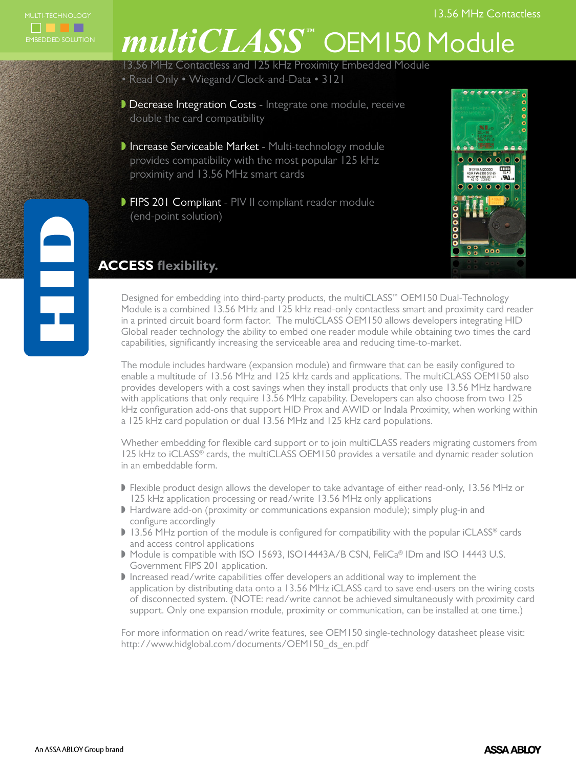

# *multiCLASS ™* OEM150 Module

13.56 MHz Contactless and 125 kHz Proximity Embedded Module

- Read Only Wiegand/Clock-and-Data 3121
- Decrease Integration Costs Integrate one module, receive double the card compatibility
- Increase Serviceable Market Multi-technology module provides compatibility with the most popular 125 kHz proximity and 13.56 MHz smart cards
- **FIPS 201 Compliant PIV II compliant reader module** (end-point solution)



## **ACCESS flexibility.**

Designed for embedding into third-party products, the multiCLASS™ OEM150 Dual-Technology Module is a combined 13.56 MHz and 125 kHz read-only contactless smart and proximity card reader in a printed circuit board form factor. The multiCLASS OEM150 allows developers integrating HID Global reader technology the ability to embed one reader module while obtaining two times the card capabilities, significantly increasing the serviceable area and reducing time-to-market.

The module includes hardware (expansion module) and firmware that can be easily configured to enable a multitude of 13.56 MHz and 125 kHz cards and applications. The multiCLASS OEM150 also provides developers with a cost savings when they install products that only use 13.56 MHz hardware with applications that only require 13.56 MHz capability. Developers can also choose from two 125 kHz configuration add-ons that support HID Prox and AWID or Indala Proximity, when working within a 125 kHz card population or dual 13.56 MHz and 125 kHz card populations.

Whether embedding for flexible card support or to join multiCLASS readers migrating customers from 125 kHz to iCLASS® cards, the multiCLASS OEM150 provides a versatile and dynamic reader solution in an embeddable form.

- If Flexible product design allows the developer to take advantage of either read-only, 13.56 MHz or 125 kHz application processing or read/write 13.56 MHz only applications
- Hardware add-on (proximity or communications expansion module); simply plug-in and configure accordingly
- $\blacktriangleright$  13.56 MHz portion of the module is configured for compatibility with the popular iCLASS® cards and access control applications
- Module is compatible with ISO 15693, ISO14443A/B CSN, FeliCa® IDm and ISO 14443 U.S. Government FIPS 201 application.
- $\blacktriangleright$  Increased read/write capabilities offer developers an additional way to implement the application by distributing data onto a 13.56 MHz iCLASS card to save end-users on the wiring costs of disconnected system. (NOTE: read/write cannot be achieved simultaneously with proximity card support. Only one expansion module, proximity or communication, can be installed at one time.)

For more information on read/write features, see OEM150 single-technology datasheet please visit: http://www.hidglobal.com/documents/OEM150\_ds\_en.pdf